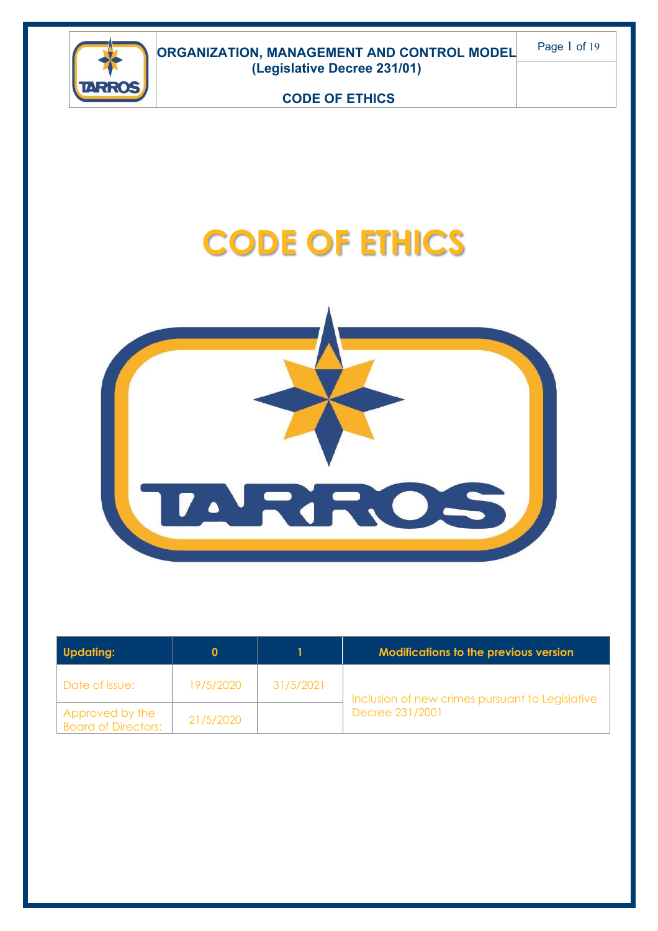

# **CODE OF ETHICS**



| <b>Updating:</b>                              |           |           | <b>Modifications to the previous version</b>                       |
|-----------------------------------------------|-----------|-----------|--------------------------------------------------------------------|
| Date of issue:                                | 19/5/2020 | 31/5/2021 | Inclusion of new crimes pursuant to Legislative<br>Decree 231/2001 |
| Approved by the<br><b>Board of Directors:</b> | 21/5/2020 |           |                                                                    |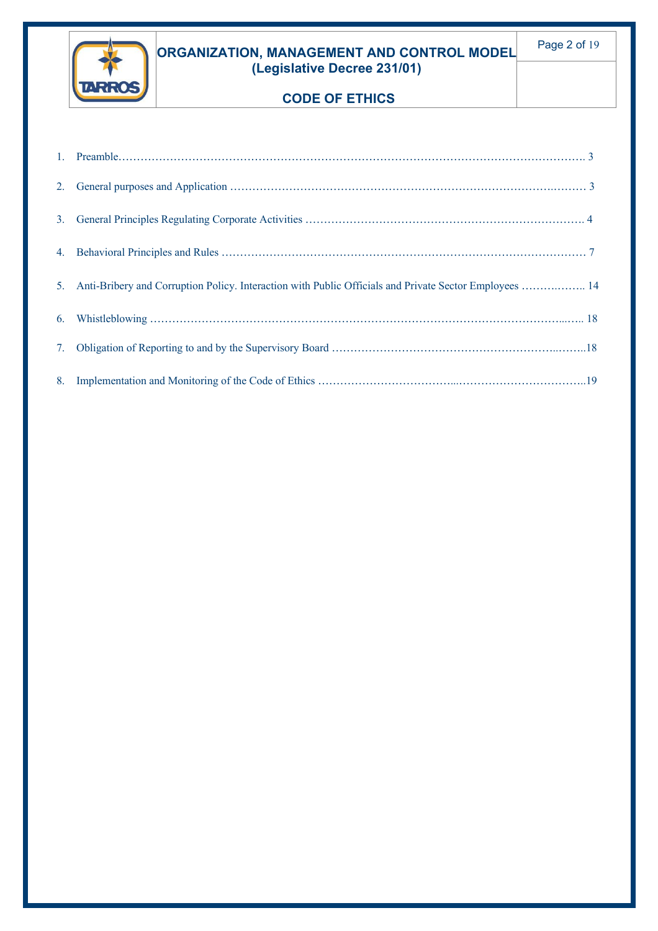

#### **ORGANIZATION, MANAGEMENT AND CONTROL MODEL (Legislative Decree 231/01)**

## **CODE OF ETHICS**

| 5. Anti-Bribery and Corruption Policy. Interaction with Public Officials and Private Sector Employees  14 |
|-----------------------------------------------------------------------------------------------------------|
|                                                                                                           |
|                                                                                                           |
|                                                                                                           |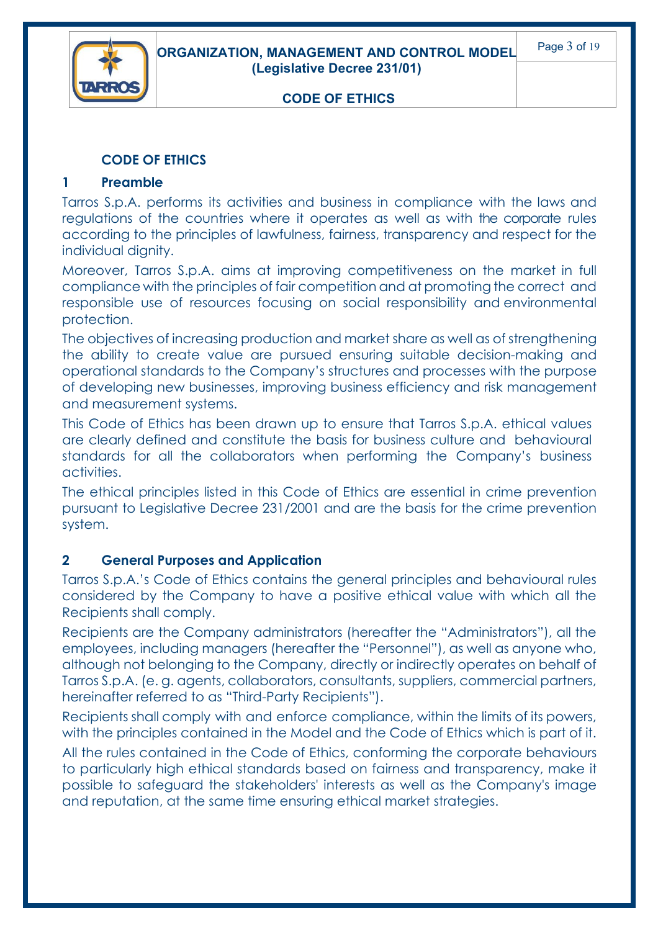

#### **CODE OF ETHICS**

#### **1 Preamble**

Tarros S.p.A. performs its activities and business in compliance with the laws and regulations of the countries where it operates as well as with the corporate rules according to the principles of lawfulness, fairness, transparency and respect for the individual dignity.

Moreover, Tarros S.p.A. aims at improving competitiveness on the market in full compliance with the principles of fair competition and at promoting the correct and responsible use of resources focusing on social responsibility and environmental protection.

The objectives of increasing production and market share as well as of strengthening the ability to create value are pursued ensuring suitable decision-making and operational standards to the Company's structures and processes with the purpose of developing new businesses, improving business efficiency and risk management and measurement systems.

This Code of Ethics has been drawn up to ensure that Tarros S.p.A. ethical values are clearly defined and constitute the basis for business culture and behavioural standards for all the collaborators when performing the Company's business activities.

The ethical principles listed in this Code of Ethics are essential in crime prevention pursuant to Legislative Decree 231/2001 and are the basis for the crime prevention system.

#### **2 General Purposes and Application**

Tarros S.p.A.'s Code of Ethics contains the general principles and behavioural rules considered by the Company to have a positive ethical value with which all the Recipients shall comply.

Recipients are the Company administrators (hereafter the "Administrators"), all the employees, including managers (hereafter the "Personnel"), as well as anyone who, although not belonging to the Company, directly or indirectly operates on behalf of Tarros S.p.A. (e. g. agents, collaborators, consultants, suppliers, commercial partners, hereinafter referred to as "Third-Party Recipients").

Recipients shall comply with and enforce compliance, within the limits of its powers, with the principles contained in the Model and the Code of Ethics which is part of it.

All the rules contained in the Code of Ethics, conforming the corporate behaviours to particularly high ethical standards based on fairness and transparency, make it possible to safeguard the stakeholders' interests as well as the Company's image and reputation, at the same time ensuring ethical market strategies.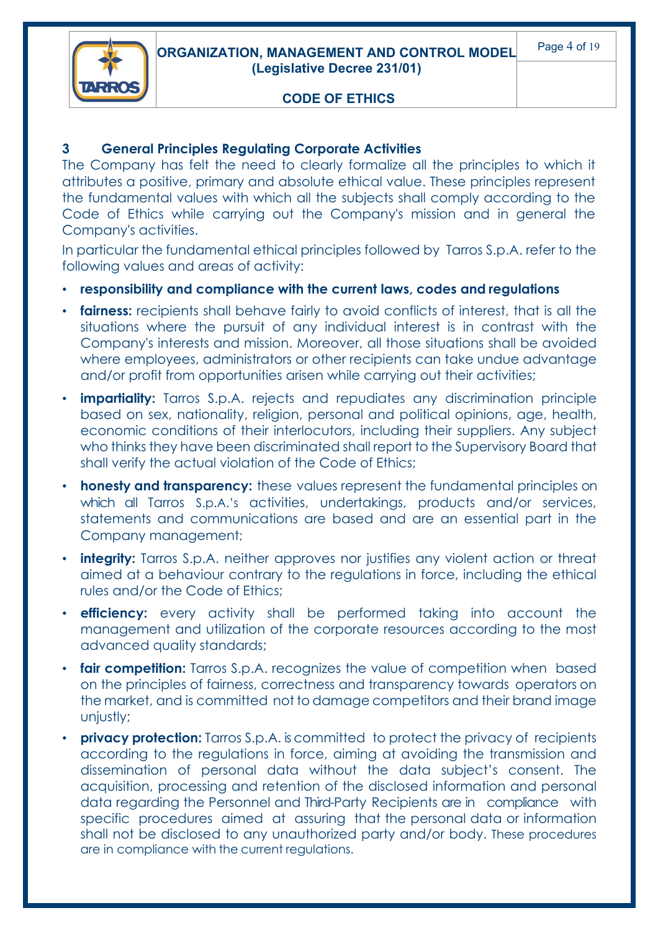



#### **3 General Principles Regulating Corporate Activities**

The Company has felt the need to clearly formalize all the principles to which it attributes a positive, primary and absolute ethical value. These principles represent the fundamental values with which all the subjects shall comply according to the Code of Ethics while carrying out the Company's mission and in general the Company's activities.

In particular the fundamental ethical principles followed by Tarros S.p.A. refer to the following values and areas of activity:

- **responsibility and compliance with the current laws, codes and regulations**
- **fairness:** recipients shall behave fairly to avoid conflicts of interest, that is all the situations where the pursuit of any individual interest is in contrast with the Company's interests and mission. Moreover, all those situations shall be avoided where employees, administrators or other recipients can take undue advantage and/or profit from opportunities arisen while carrying out their activities;
- **impartiality:** Tarros S.p.A. rejects and repudiates any discrimination principle based on sex, nationality, religion, personal and political opinions, age, health, economic conditions of their interlocutors, including their suppliers. Any subject who thinks they have been discriminated shall report to the Supervisory Board that shall verify the actual violation of the Code of Ethics;
- **honesty and transparency:** these values represent the fundamental principles on which all Tarros S.p.A.'s activities, undertakings, products and/or services, statements and communications are based and are an essential part in the Company management;
- **integrity:** Tarros S.p.A. neither approves nor justifies any violent action or threat aimed at a behaviour contrary to the regulations in force, including the ethical rules and/or the Code of Ethics;
- **efficiency:** every activity shall be performed taking into account the management and utilization of the corporate resources according to the most advanced quality standards;
- **fair competition:** Tarros S.p.A. recognizes the value of competition when based on the principles of fairness, correctness and transparency towards operators on the market, and is committed not to damage competitors and their brand image unjustly;
- **privacy protection:** Tarros S.p.A. is committed to protect the privacy of recipients according to the regulations in force, aiming at avoiding the transmission and dissemination of personal data without the data subject's consent. The acquisition, processing and retention of the disclosed information and personal data regarding the Personnel and Third-Party Recipients are in compliance with specific procedures aimed at assuring that the personal data or information shall not be disclosed to any unauthorized party and/or body. These procedures are in compliance with the current regulations.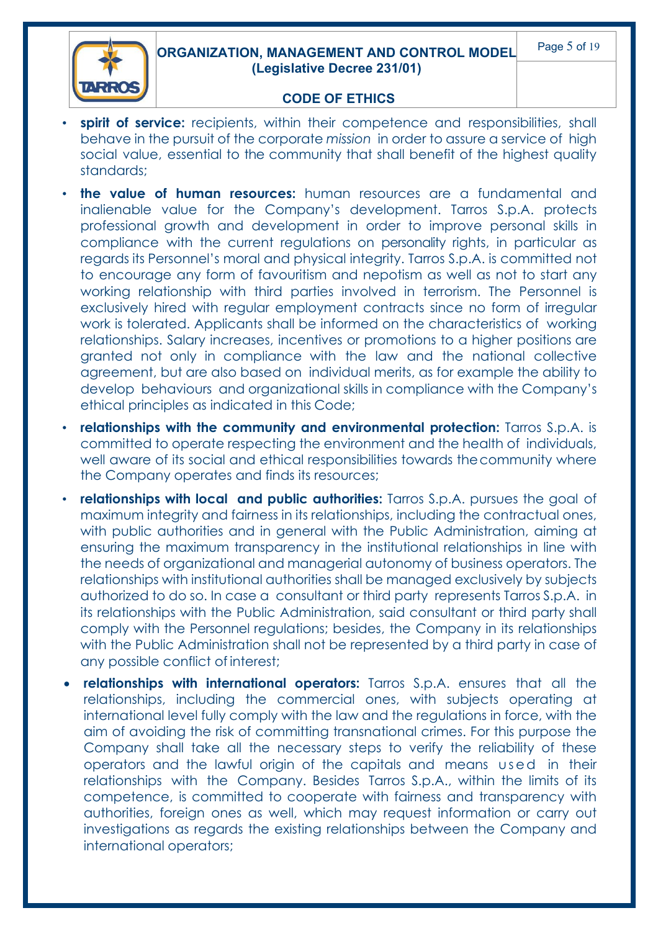

- **spirit of service:** recipients, within their competence and responsibilities, shall behave in the pursuit of the corporate *mission* in order to assure a service of high social value, essential to the community that shall benefit of the highest quality standards;
- **the value of human resources:** human resources are a fundamental and inalienable value for the Company's development. Tarros S.p.A. protects professional growth and development in order to improve personal skills in compliance with the current regulations on personality rights, in particular as regards its Personnel's moral and physical integrity. Tarros S.p.A. is committed not to encourage any form of favouritism and nepotism as well as not to start any working relationship with third parties involved in terrorism. The Personnel is exclusively hired with regular employment contracts since no form of irregular work is tolerated. Applicants shall be informed on the characteristics of working relationships. Salary increases, incentives or promotions to a higher positions are granted not only in compliance with the law and the national collective agreement, but are also based on individual merits, as for example the ability to develop behaviours and organizational skills in compliance with the Company's ethical principles as indicated in this Code;
- **relationships with the community and environmental protection:** Tarros S.p.A. is committed to operate respecting the environment and the health of individuals, well aware of its social and ethical responsibilities towards thecommunity where the Company operates and finds its resources;
- **relationships with local and public authorities:** Tarros S.p.A. pursues the goal of maximum integrity and fairness in its relationships, including the contractual ones, with public authorities and in general with the Public Administration, aiming at ensuring the maximum transparency in the institutional relationships in line with the needs of organizational and managerial autonomy of business operators. The relationships with institutional authorities shall be managed exclusively by subjects authorized to do so. In case a consultant or third party represents Tarros S.p.A. in its relationships with the Public Administration, said consultant or third party shall comply with the Personnel regulations; besides, the Company in its relationships with the Public Administration shall not be represented by a third party in case of any possible conflict of interest;
- **relationships with international operators:** Tarros S.p.A. ensures that all the relationships, including the commercial ones, with subjects operating at international level fully comply with the law and the regulations in force, with the aim of avoiding the risk of committing transnational crimes. For this purpose the Company shall take all the necessary steps to verify the reliability of these operators and the lawful origin of the capitals and means used in their relationships with the Company. Besides Tarros S.p.A., within the limits of its competence, is committed to cooperate with fairness and transparency with authorities, foreign ones as well, which may request information or carry out investigations as regards the existing relationships between the Company and international operators;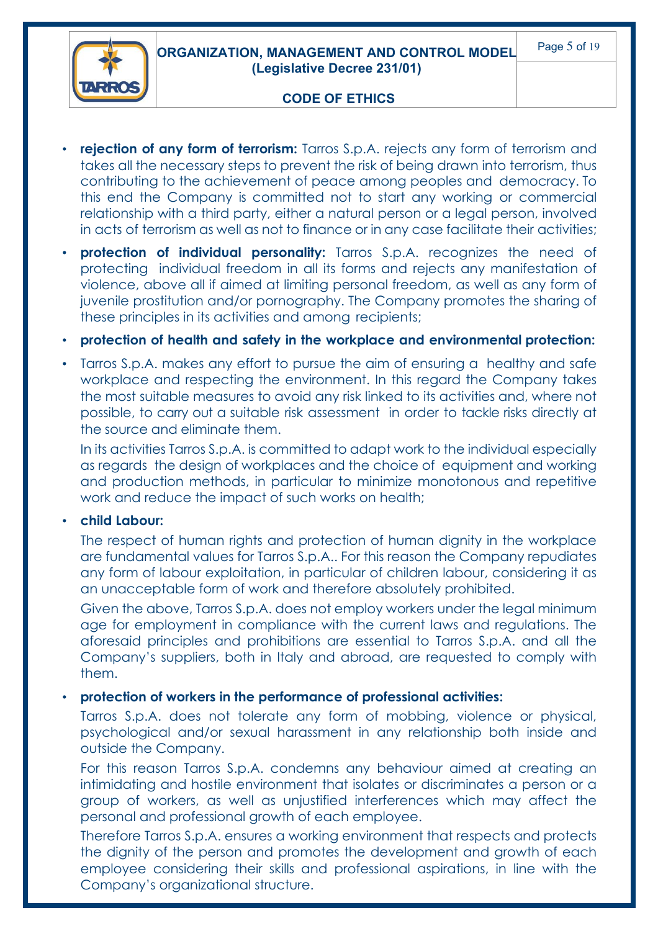**ORGANIZATION, MANAGEMENT AND CONTROL MODEL (Legislative Decree 231/01)**



#### **CODE OF ETHICS**

- **rejection of any form of terrorism:** Tarros S.p.A. rejects any form of terrorism and takes all the necessary steps to prevent the risk of being drawn into terrorism, thus contributing to the achievement of peace among peoples and democracy. To this end the Company is committed not to start any working or commercial relationship with a third party, either a natural person or a legal person, involved in acts of terrorism as well as not to finance or in any case facilitate their activities;
- **protection of individual personality:** Tarros S.p.A. recognizes the need of protecting individual freedom in all its forms and rejects any manifestation of violence, above all if aimed at limiting personal freedom, as well as any form of juvenile prostitution and/or pornography. The Company promotes the sharing of these principles in its activities and among recipients;
- **protection of health and safety in the workplace and environmental protection:**
- Tarros S.p.A. makes any effort to pursue the aim of ensuring a healthy and safe workplace and respecting the environment. In this regard the Company takes the most suitable measures to avoid any risk linked to its activities and, where not possible, to carry out a suitable risk assessment in order to tackle risks directly at the source and eliminate them.

In its activities Tarros S.p.A. is committed to adapt work to the individual especially as regards the design of workplaces and the choice of equipment and working and production methods, in particular to minimize monotonous and repetitive work and reduce the impact of such works on health;

#### • **child Labour:**

The respect of human rights and protection of human dignity in the workplace are fundamental values for Tarros S.p.A.. For this reason the Company repudiates any form of labour exploitation, in particular of children labour, considering it as an unacceptable form of work and therefore absolutely prohibited.

Given the above, Tarros S.p.A. does not employ workers under the legal minimum age for employment in compliance with the current laws and regulations. The aforesaid principles and prohibitions are essential to Tarros S.p.A. and all the Company's suppliers, both in Italy and abroad, are requested to comply with them.

#### • **protection of workers in the performance of professional activities:**

Tarros S.p.A. does not tolerate any form of mobbing, violence or physical, psychological and/or sexual harassment in any relationship both inside and outside the Company.

For this reason Tarros S.p.A. condemns any behaviour aimed at creating an intimidating and hostile environment that isolates or discriminates a person or a group of workers, as well as unjustified interferences which may affect the personal and professional growth of each employee.

Therefore Tarros S.p.A. ensures a working environment that respects and protects the dignity of the person and promotes the development and growth of each employee considering their skills and professional aspirations, in line with the Company's organizational structure.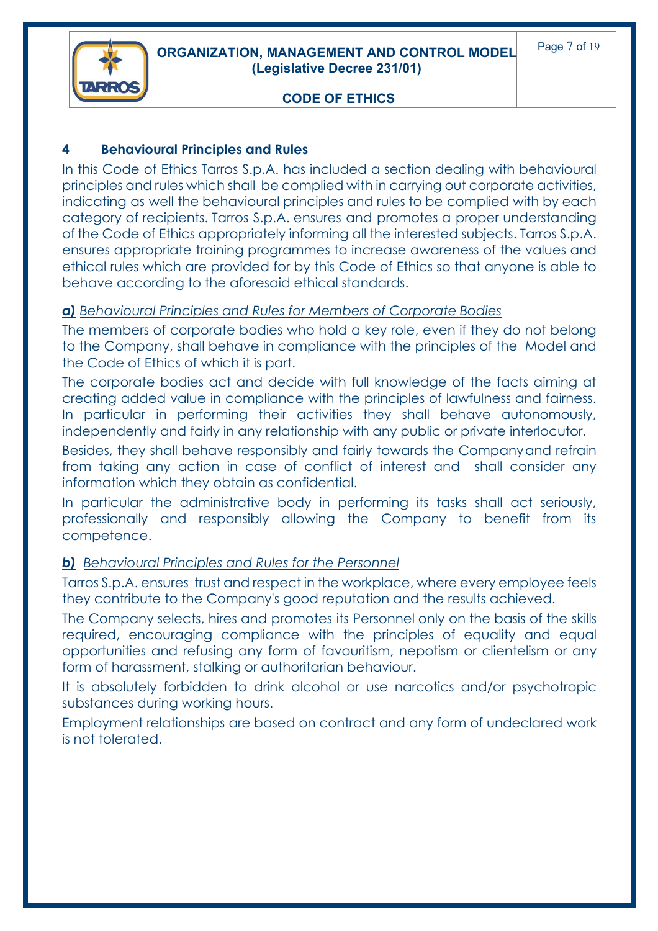



#### **4 Behavioural Principles and Rules**

In this Code of Ethics Tarros S.p.A. has included a section dealing with behavioural principles and rules which shall be complied with in carrying out corporate activities, indicating as well the behavioural principles and rules to be complied with by each category of recipients. Tarros S.p.A. ensures and promotes a proper understanding of the Code of Ethics appropriately informing all the interested subjects. Tarros S.p.A. ensures appropriate training programmes to increase awareness of the values and ethical rules which are provided for by this Code of Ethics so that anyone is able to behave according to the aforesaid ethical standards.

#### *a) Behavioural Principles and Rules for Members of Corporate Bodies*

The members of corporate bodies who hold a key role, even if they do not belong to the Company, shall behave in compliance with the principles of the Model and the Code of Ethics of which it is part.

The corporate bodies act and decide with full knowledge of the facts aiming at creating added value in compliance with the principles of lawfulness and fairness. In particular in performing their activities they shall behave autonomously, independently and fairly in any relationship with any public or private interlocutor.

Besides, they shall behave responsibly and fairly towards the Companyand refrain from taking any action in case of conflict of interest and shall consider any information which they obtain as confidential.

In particular the administrative body in performing its tasks shall act seriously, professionally and responsibly allowing the Company to benefit from its competence.

#### *b) Behavioural Principles and Rules for the Personnel*

Tarros S.p.A. ensures trust and respect in the workplace, where every employee feels they contribute to the Company's good reputation and the results achieved.

The Company selects, hires and promotes its Personnel only on the basis of the skills required, encouraging compliance with the principles of equality and equal opportunities and refusing any form of favouritism, nepotism or clientelism or any form of harassment, stalking or authoritarian behaviour.

It is absolutely forbidden to drink alcohol or use narcotics and/or psychotropic substances during working hours.

Employment relationships are based on contract and any form of undeclared work is not tolerated.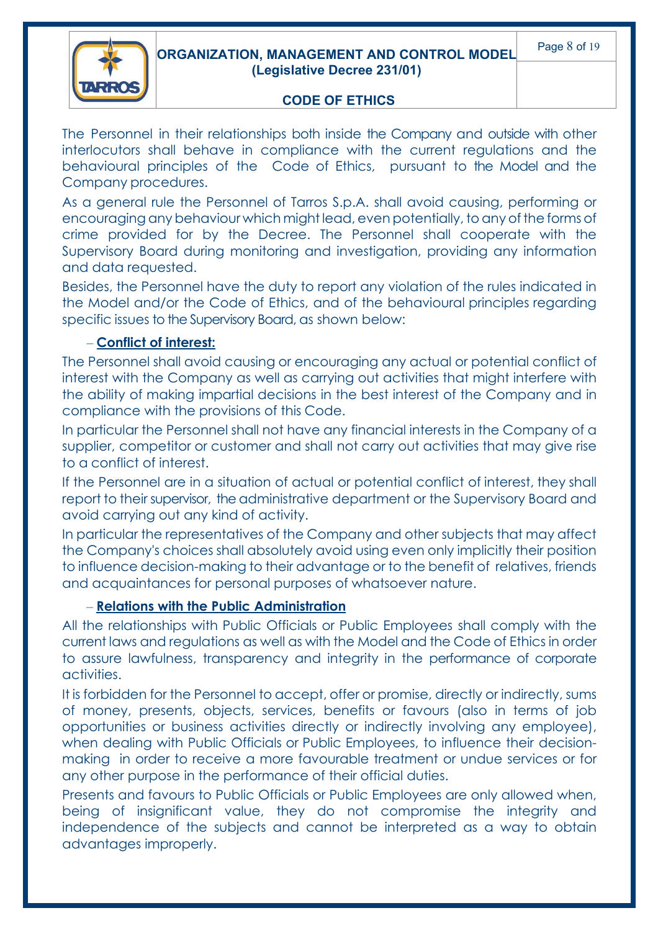

The Personnel in their relationships both inside the Company and outside with other interlocutors shall behave in compliance with the current regulations and the behavioural principles of the Code of Ethics, pursuant to the Model and the Company procedures.

As a general rule the Personnel of Tarros S.p.A. shall avoid causing, performing or encouragingany behaviour which might lead, even potentially, to any of the forms of crime provided for by the Decree. The Personnel shall cooperate with the Supervisory Board during monitoring and investigation, providing any information and data requested.

Besides, the Personnel have the duty to report any violation of the rules indicated in the Model and/or the Code of Ethics, and of the behavioural principles regarding specific issues to the Supervisory Board, as shown below:

#### – **Conflict of interest:**

The Personnel shall avoid causing or encouraging any actual or potential conflict of interest with the Company as well as carrying out activities that might interfere with the ability of making impartial decisions in the best interest of the Company and in compliance with the provisions of this Code.

In particular the Personnel shall not have any financial interests in the Company of a supplier, competitor or customer and shall not carry out activities that may give rise to a conflict of interest.

If the Personnel are in a situation of actual or potential conflict of interest, they shall report to their supervisor, the administrative department or the Supervisory Board and avoid carrying out any kind of activity.

In particular the representatives of the Company and other subjects that may affect the Company's choices shall absolutely avoid using even only implicitly their position to influence decision-making to their advantage or to the benefit of relatives, friends and acquaintances for personal purposes of whatsoever nature.

#### – **Relations with the Public Administration**

All the relationships with Public Officials or Public Employees shall comply with the current laws and regulations as well as with the Model and the Code of Ethics in order to assure lawfulness, transparency and integrity in the performance of corporate activities.

It is forbidden for the Personnel to accept, offer or promise, directly or indirectly, sums of money, presents, objects, services, benefits or favours (also in terms of job opportunities or business activities directly or indirectly involving any employee), when dealing with Public Officials or Public Employees, to influence their decisionmaking in order to receive a more favourable treatment or undue services or for any other purpose in the performance of their official duties.

Presents and favours to Public Officials or Public Employees are only allowed when, being of insignificant value, they do not compromise the integrity and independence of the subjects and cannot be interpreted as a way to obtain advantages improperly.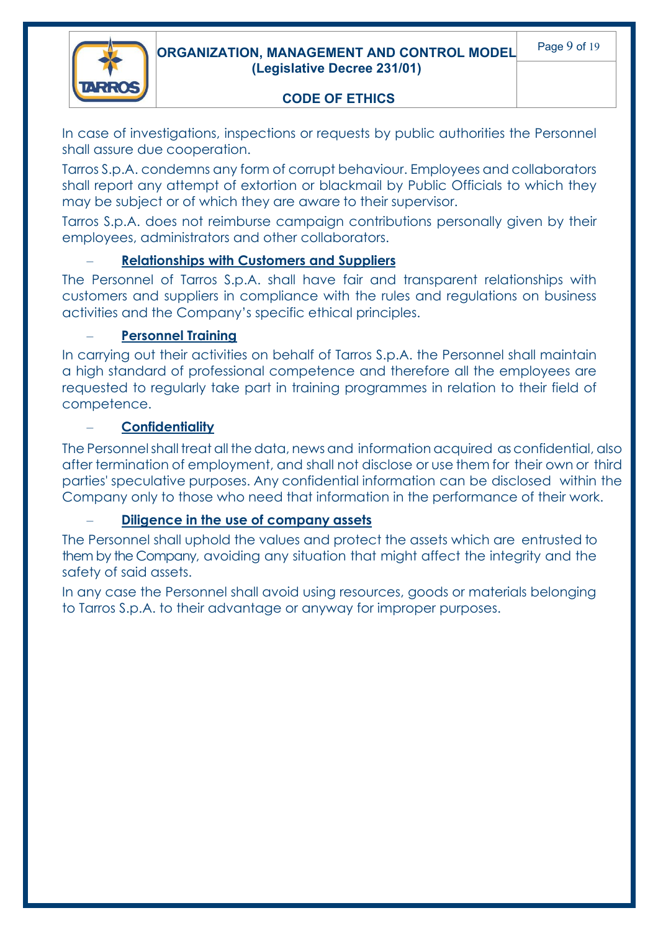



In case of investigations, inspections or requests by public authorities the Personnel shall assure due cooperation.

Tarros S.p.A. condemns any form of corrupt behaviour. Employees and collaborators shall report any attempt of extortion or blackmail by Public Officials to which they may be subject or of which they are aware to their supervisor.

Tarros S.p.A. does not reimburse campaign contributions personally given by their employees, administrators and other collaborators.

#### – **Relationships with Customers and Suppliers**

The Personnel of Tarros S.p.A. shall have fair and transparent relationships with customers and suppliers in compliance with the rules and regulations on business activities and the Company's specific ethical principles.

#### – **Personnel Training**

In carrying out their activities on behalf of Tarros S.p.A. the Personnel shall maintain a high standard of professional competence and therefore all the employees are requested to regularly take part in training programmes in relation to their field of competence.

#### – **Confidentiality**

The Personnelshall treat all the data, news and information acquired as confidential, also after termination of employment, and shall not disclose or use them for their own or third parties' speculative purposes. Any confidential information can be disclosed within the Company only to those who need that information in the performance of their work.

#### – **Diligence in the use of company assets**

The Personnel shall uphold the values and protect the assets which are entrusted to them by the Company, avoiding any situation that might affect the integrity and the safety of said assets.

In any case the Personnel shall avoid using resources, goods or materials belonging to Tarros S.p.A. to their advantage or anyway for improper purposes.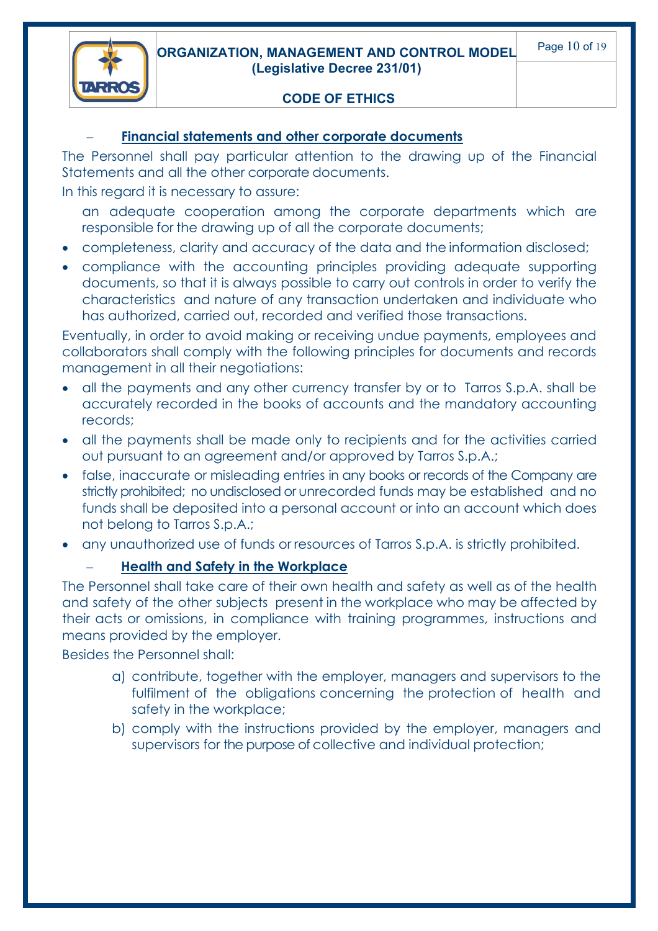**ORGANIZATION, MANAGEMENT AND CONTROL MODEL (Legislative Decree 231/01)**



#### **CODE OF ETHICS**

#### – **Financial statements and other corporate documents**

The Personnel shall pay particular attention to the drawing up of the Financial Statements and all the other corporate documents.

In this regard it is necessary to assure:

an adequate cooperation among the corporate departments which are responsible for the drawing up of all the corporate documents;

- completeness, clarity and accuracy of the data and the information disclosed;
- compliance with the accounting principles providing adequate supporting documents, so that it is always possible to carry out controls in order to verify the characteristics and nature of any transaction undertaken and individuate who has authorized, carried out, recorded and verified those transactions.

Eventually, in order to avoid making or receiving undue payments, employees and collaborators shall comply with the following principles for documents and records management in all their negotiations:

- all the payments and any other currency transfer by or to Tarros S.p.A. shall be accurately recorded in the books of accounts and the mandatory accounting records;
- all the payments shall be made only to recipients and for the activities carried out pursuant to an agreement and/or approved by Tarros S.p.A.;
- false, inaccurate or misleading entries in any books or records of the Company are strictly prohibited; no undisclosed or unrecorded funds may be established and no funds shall be deposited into a personal account or into an account which does not belong to Tarros S.p.A.;
- any unauthorized use of funds or resources of Tarros S.p.A. is strictly prohibited.

#### – **Health and Safety in the Workplace**

The Personnel shall take care of their own health and safety as well as of the health and safety of the other subjects present in the workplace who may be affected by their acts or omissions, in compliance with training programmes, instructions and means provided by the employer.

Besides the Personnel shall:

- a) contribute, together with the employer, managers and supervisors to the fulfilment of the obligations concerning the protection of health and safety in the workplace;
- b) comply with the instructions provided by the employer, managers and supervisors for the purpose of collective and individual protection;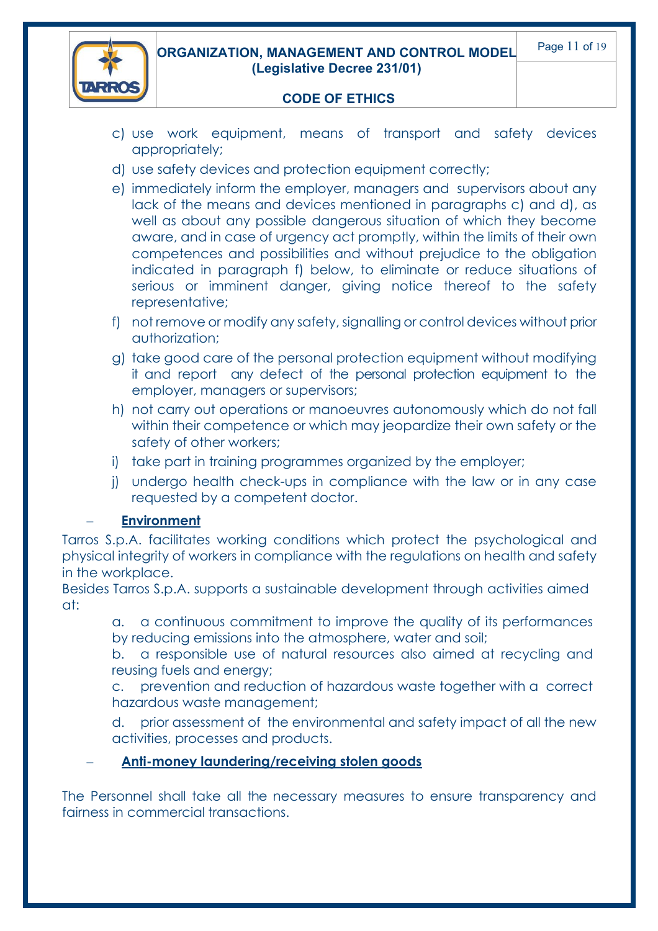

- c) use work equipment, means of transport and safety devices appropriately;
- d) use safety devices and protection equipment correctly;
- e) immediately inform the employer, managers and supervisors about any lack of the means and devices mentioned in paragraphs c) and d), as well as about any possible dangerous situation of which they become aware, and in case of urgency act promptly, within the limits of their own competences and possibilities and without prejudice to the obligation indicated in paragraph f) below, to eliminate or reduce situations of serious or imminent danger, giving notice thereof to the safety representative;
- f) not remove or modify any safety, signalling or control devices without prior authorization;
- g) take good care of the personal protection equipment without modifying it and report any defect of the personal protection equipment to the employer, managers or supervisors;
- h) not carry out operations or manoeuvres autonomously which do not fall within their competence or which may jeopardize their own safety or the safety of other workers;
- i) take part in training programmes organized by the employer;
- j) undergo health check-ups in compliance with the law or in any case requested by a competent doctor.

#### – **Environment**

Tarros S.p.A. facilitates working conditions which protect the psychological and physical integrity of workers in compliance with the regulations on health and safety in the workplace.

Besides Tarros S.p.A. supports a sustainable development through activities aimed at:

a. a continuous commitment to improve the quality of its performances by reducing emissions into the atmosphere, water and soil;

b. a responsible use of natural resources also aimed at recycling and reusing fuels and energy;

c. prevention and reduction of hazardous waste together with a correct hazardous waste management;

d. prior assessment of the environmental and safety impact of all the new activities, processes and products.

### – **Anti-money laundering/receiving stolen goods**

The Personnel shall take all the necessary measures to ensure transparency and fairness in commercial transactions.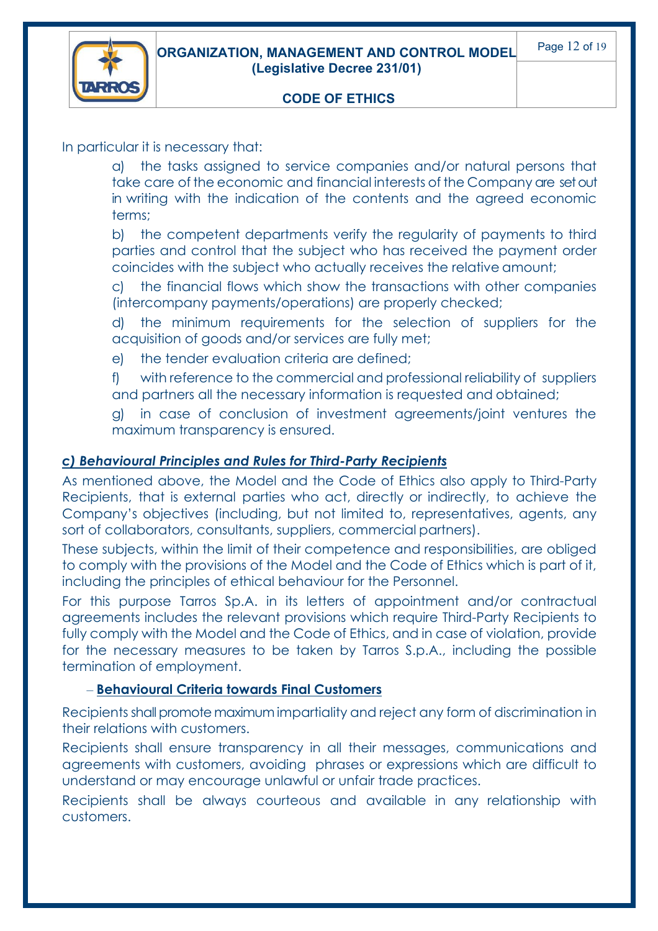

In particular it is necessary that:

a) the tasks assigned to service companies and/or natural persons that take care of the economic and financial interests of the Company are set out in writing with the indication of the contents and the agreed economic terms;

b) the competent departments verify the regularity of payments to third parties and control that the subject who has received the payment order coincides with the subject who actually receives the relative amount;

c) the financial flows which show the transactions with other companies (intercompany payments/operations) are properly checked;

d) the minimum requirements for the selection of suppliers for the acquisition of goods and/or services are fully met;

e) the tender evaluation criteria are defined;

f) with reference to the commercial and professional reliability of suppliers and partners all the necessary information is requested and obtained;

g) in case of conclusion of investment agreements/joint ventures the maximum transparency is ensured.

#### *c) Behavioural Principles and Rules for Third-Party Recipients*

As mentioned above, the Model and the Code of Ethics also apply to Third-Party Recipients, that is external parties who act, directly or indirectly, to achieve the Company's objectives (including, but not limited to, representatives, agents, any sort of collaborators, consultants, suppliers, commercial partners).

These subjects, within the limit of their competence and responsibilities, are obliged to comply with the provisions of the Model and the Code of Ethics which is part of it, including the principles of ethical behaviour for the Personnel.

For this purpose Tarros Sp.A. in its letters of appointment and/or contractual agreements includes the relevant provisions which require Third-Party Recipients to fully comply with the Model and the Code of Ethics, and in case of violation, provide for the necessary measures to be taken by Tarros S.p.A., including the possible termination of employment.

#### – **Behavioural Criteria towards Final Customers**

Recipients shall promote maximum impartiality and reject any form of discrimination in their relations with customers.

Recipients shall ensure transparency in all their messages, communications and agreements with customers, avoiding phrases or expressions which are difficult to understand or may encourage unlawful or unfair trade practices.

Recipients shall be always courteous and available in any relationship with customers.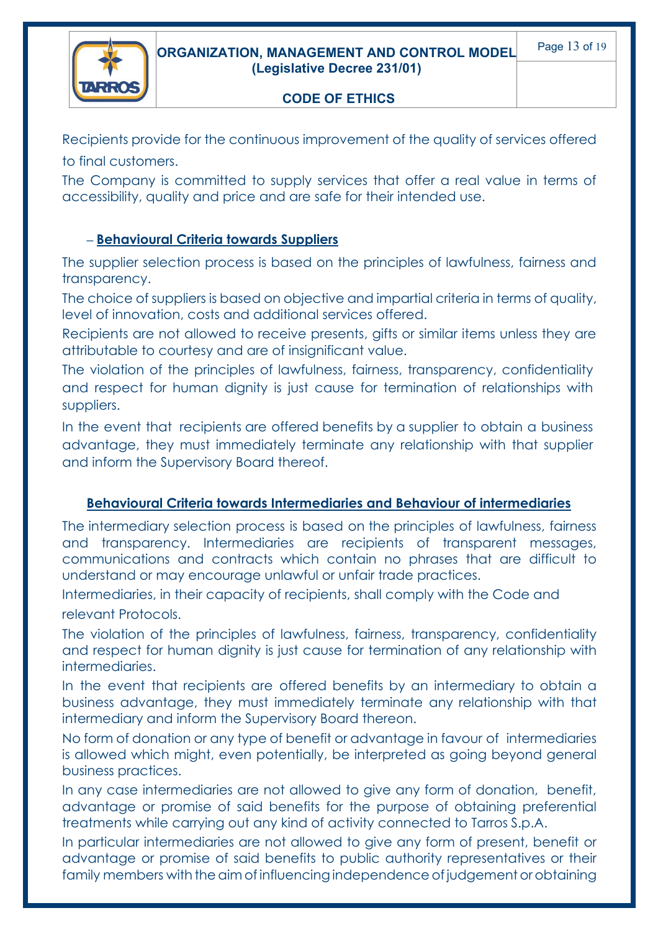

Recipients provide for the continuous improvement of the quality of services offered to final customers.

The Company is committed to supply services that offer a real value in terms of accessibility, quality and price and are safe for their intended use.

#### **– Behavioural Criteria towards Suppliers**

The supplier selection process is based on the principles of lawfulness, fairness and transparency.

The choice of suppliers is based on objective and impartial criteria in terms of quality, level of innovation, costs and additional services offered.

Recipients are not allowed to receive presents, gifts or similar items unless they are attributable to courtesy and are of insignificant value.

The violation of the principles of lawfulness, fairness, transparency, confidentiality and respect for human dianity is just cause for termination of relationships with suppliers.

In the event that recipients are offered benefits by a supplier to obtain a business advantage, they must immediately terminate any relationship with that supplier and inform the Supervisory Board thereof.

### **Behavioural Criteria towards Intermediaries and Behaviour of intermediaries**

The intermediary selection process is based on the principles of lawfulness, fairness and transparency. Intermediaries are recipients of transparent messages, communications and contracts which contain no phrases that are difficult to understand or may encourage unlawful or unfair trade practices.

Intermediaries, in their capacity of recipients, shall comply with the Code and relevant Protocols.

The violation of the principles of lawfulness, fairness, transparency, confidentiality and respect for human dignity is just cause for termination of any relationship with intermediaries.

In the event that recipients are offered benefits by an intermediary to obtain a business advantage, they must immediately terminate any relationship with that intermediary and inform the Supervisory Board thereon.

No form of donation or any type of benefit or advantage in favour of intermediaries is allowed which might, even potentially, be interpreted as going beyond general business practices.

In any case intermediaries are not allowed to give any form of donation, benefit, advantage or promise of said benefits for the purpose of obtaining preferential treatments while carrying out any kind of activity connected to Tarros S.p.A.

In particular intermediaries are not allowed to give any form of present, benefit or advantage or promise of said benefits to public authority representatives or their family members with the aim of influencing independence of judgement or obtaining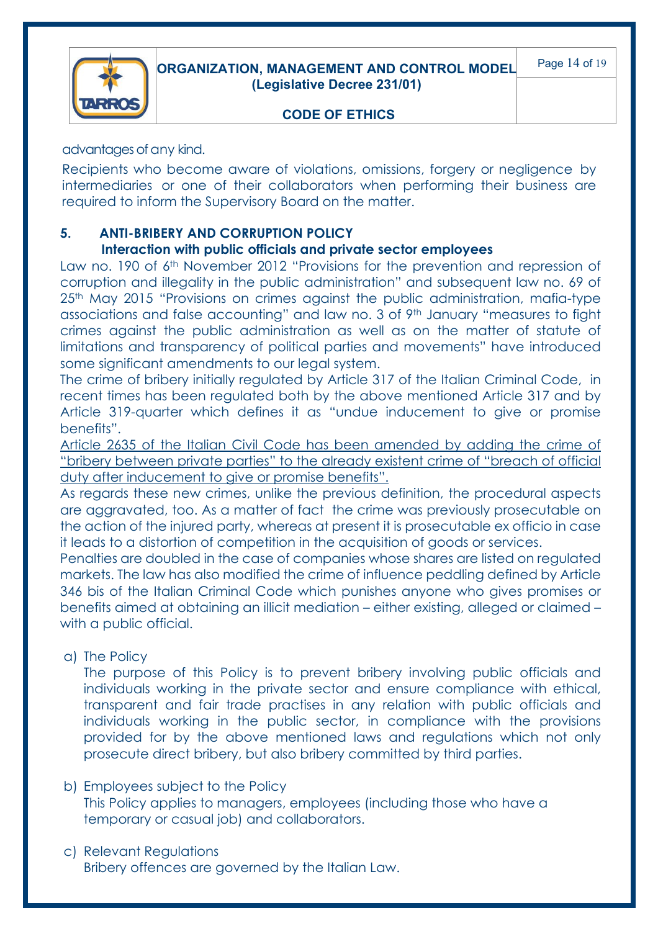

advantages of any kind.

Recipients who become aware of violations, omissions, forgery or negligence by intermediaries or one of their collaborators when performing their business are required to inform the Supervisory Board on the matter.

#### **5. ANTI-BRIBERY AND CORRUPTION POLICY**

#### **Interaction with public officials and private sector employees**

Law no. 190 of 6<sup>th</sup> November 2012 "Provisions for the prevention and repression of corruption and illegality in the public administration" and subsequent law no. 69 of 25<sup>th</sup> May 2015 "Provisions on crimes against the public administration, mafia-type associations and false accounting" and law no. 3 of 9<sup>th</sup> January "measures to fight crimes against the public administration as well as on the matter of statute of limitations and transparency of political parties and movements" have introduced some significant amendments to our legal system.

The crime of bribery initially regulated by Article 317 of the Italian Criminal Code, in recent times has been regulated both by the above mentioned Article 317 and by Article 319-quarter which defines it as "undue inducement to give or promise benefits".

Article 2635 of the Italian Civil Code has been amended by adding the crime of "bribery between private parties" to the already existent crime of "breach of official duty after inducement to give or promise benefits".

As regards these new crimes, unlike the previous definition, the procedural aspects are aggravated, too. As a matter of fact the crime was previously prosecutable on the action of the injured party, whereas at present it is prosecutable ex officio in case it leads to a distortion of competition in the acquisition of goods or services.

Penalties are doubled in the case of companies whose shares are listed on regulated markets. The law has also modified the crime of influence peddling defined by Article 346 bis of the Italian Criminal Code which punishes anyone who gives promises or benefits aimed at obtaining an illicit mediation – either existing, alleged or claimed – with a public official.

a) The Policy

The purpose of this Policy is to prevent bribery involving public officials and individuals working in the private sector and ensure compliance with ethical, transparent and fair trade practises in any relation with public officials and individuals working in the public sector, in compliance with the provisions provided for by the above mentioned laws and regulations which not only prosecute direct bribery, but also bribery committed by third parties.

- b) Employees subject to the Policy This Policy applies to managers, employees (including those who have a temporary or casual job) and collaborators.
- c) Relevant Regulations Bribery offences are governed by the Italian Law.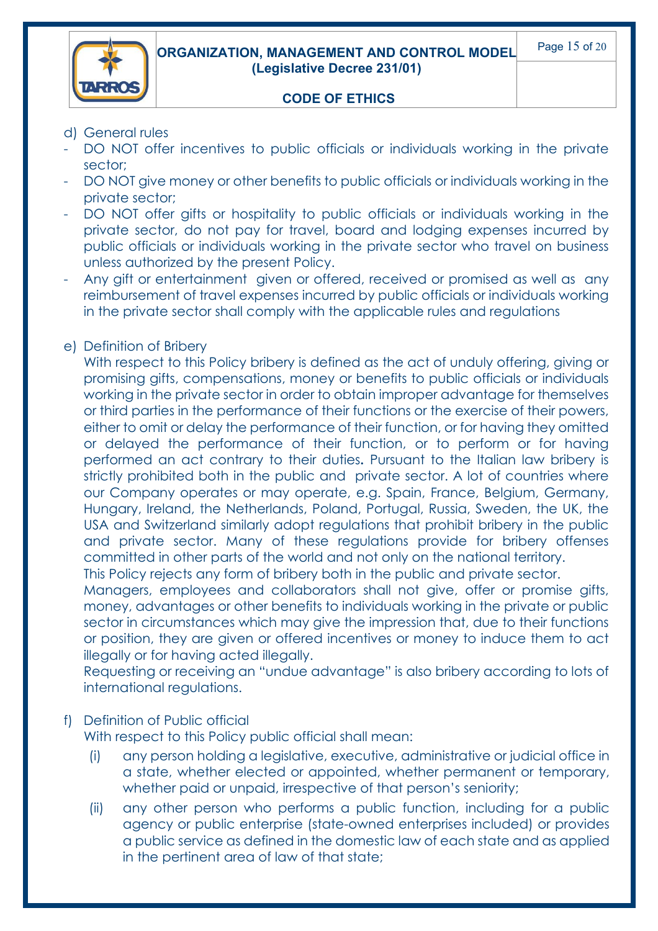

- d) General rules
- DO NOT offer incentives to public officials or individuals working in the private sector;
- DO NOT give money or other benefits to public officials or individuals working in the private sector;
- DO NOT offer gifts or hospitality to public officials or individuals working in the private sector, do not pay for travel, board and lodging expenses incurred by public officials or individuals working in the private sector who travel on business unless authorized by the present Policy.
- Any gift or entertainment given or offered, received or promised as well as any reimbursement of travel expenses incurred by public officials or individuals working in the private sector shall comply with the applicable rules and regulations

#### e) Definition of Bribery

With respect to this Policy bribery is defined as the act of unduly offering, giving or promising gifts, compensations, money or benefits to public officials or individuals working in the private sector in order to obtain improper advantage for themselves or third parties in the performance of their functions or the exercise of their powers, either to omit or delay the performance of their function, or for having they omitted or delayed the performance of their function, or to perform or for having performed an act contrary to their duties**.** Pursuant to the Italian law bribery is strictly prohibited both in the public and private sector. A lot of countries where our Company operates or may operate, e.g. Spain, France, Belgium, Germany, Hungary, Ireland, the Netherlands, Poland, Portugal, Russia, Sweden, the UK, the USA and Switzerland similarly adopt regulations that prohibit bribery in the public and private sector. Many of these regulations provide for bribery offenses committed in other parts of the world and not only on the national territory.

This Policy rejects any form of bribery both in the public and private sector.

Managers, employees and collaborators shall not give, offer or promise gifts, money, advantages or other benefits to individuals working in the private or public sector in circumstances which may give the impression that, due to their functions or position, they are given or offered incentives or money to induce them to act illegally or for having acted illegally.

Requesting or receiving an "undue advantage" is also bribery according to lots of international regulations.

#### f) Definition of Public official

With respect to this Policy public official shall mean:

- (i) any person holding a legislative, executive, administrative or judicial office in a state, whether elected or appointed, whether permanent or temporary, whether paid or unpaid, irrespective of that person's seniority;
- (ii) any other person who performs a public function, including for a public agency or public enterprise (state-owned enterprises included) or provides a public service as defined in the domestic law of each state and as applied in the pertinent area of law of that state;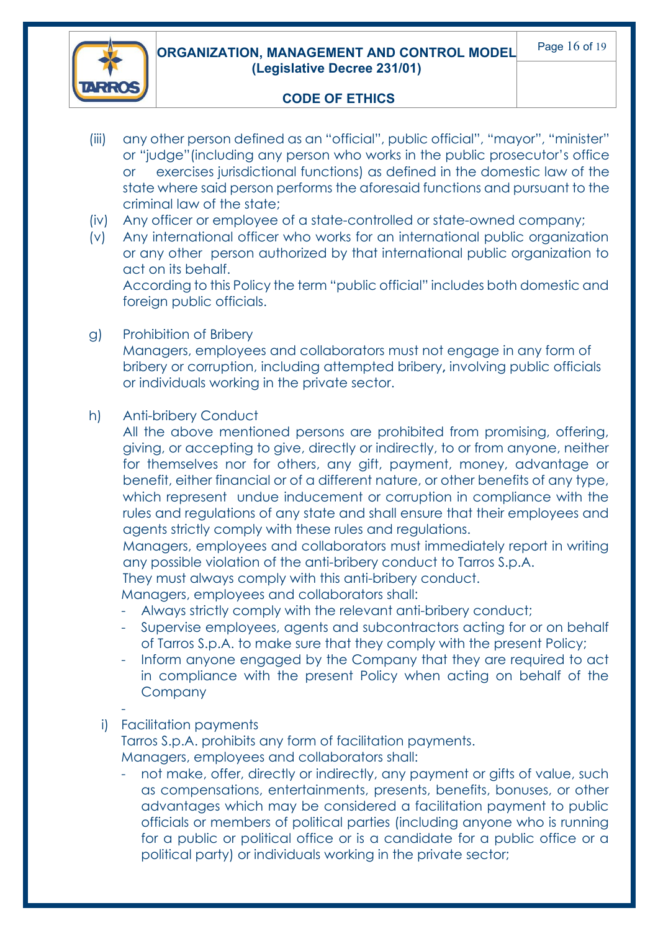

- (iii) any other person defined as an "official", public official", "mayor", "minister" or "judge"(including any person who works in the public prosecutor's office or exercises jurisdictional functions) as defined in the domestic law of the state where said person performs the aforesaid functions and pursuant to the criminal law of the state;
- (iv) Any officer or employee of a state-controlled or state-owned company;
- (v) Any international officer who works for an international public organization or any other person authorized by that international public organization to act on its behalf.

According to this Policy the term "public official" includes both domestic and foreign public officials.

g) Prohibition of Bribery

Managers, employees and collaborators must not engage in any form of bribery or corruption, including attempted bribery**,** involving public officials or individuals working in the private sector.

#### h) Anti-bribery Conduct

All the above mentioned persons are prohibited from promising, offering, giving, or accepting to give, directly or indirectly, to or from anyone, neither for themselves nor for others, any gift, payment, money, advantage or benefit, either financial or of a different nature, or other benefits of any type, which represent undue inducement or corruption in compliance with the rules and regulations of any state and shall ensure that their employees and agents strictly comply with these rules and regulations.

Managers, employees and collaborators must immediately report in writing any possible violation of the anti-bribery conduct to Tarros S.p.A.

They must always comply with this anti-bribery conduct.

Managers, employees and collaborators shall:

- Always strictly comply with the relevant anti-bribery conduct;
- Supervise employees, agents and subcontractors acting for or on behalf of Tarros S.p.A. to make sure that they comply with the present Policy;
- Inform anyone engaged by the Company that they are required to act in compliance with the present Policy when acting on behalf of the **Company**
- -

#### i) Facilitation payments

Tarros S.p.A. prohibits any form of facilitation payments.

Managers, employees and collaborators shall:

not make, offer, directly or indirectly, any payment or gifts of value, such as compensations, entertainments, presents, benefits, bonuses, or other advantages which may be considered a facilitation payment to public officials or members of political parties (including anyone who is running for a public or political office or is a candidate for a public office or a political party) or individuals working in the private sector;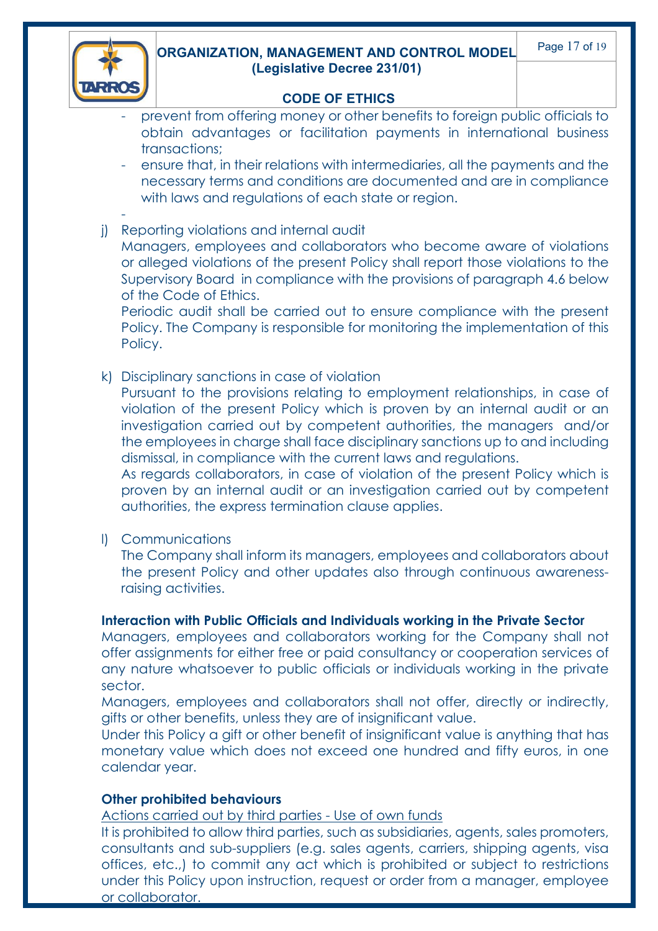

-

#### **ORGANIZATION, MANAGEMENT AND CONTROL MODEL (Legislative Decree 231/01)**

#### **CODE OF ETHICS**

- prevent from offering money or other benefits to foreign public officials to obtain advantages or facilitation payments in international business transactions;
- ensure that, in their relations with intermediaries, all the payments and the necessary terms and conditions are documented and are in compliance with laws and regulations of each state or region.
- j) Reporting violations and internal audit

Managers, employees and collaborators who become aware of violations or alleged violations of the present Policy shall report those violations to the Supervisory Board in compliance with the provisions of paragraph 4.6 below of the Code of Ethics.

Periodic audit shall be carried out to ensure compliance with the present Policy. The Company is responsible for monitoring the implementation of this Policy.

k) Disciplinary sanctions in case of violation

Pursuant to the provisions relating to employment relationships, in case of violation of the present Policy which is proven by an internal audit or an investigation carried out by competent authorities, the managers and/or the employees in charge shall face disciplinary sanctions up to and including dismissal, in compliance with the current laws and regulations.

As regards collaborators, in case of violation of the present Policy which is proven by an internal audit or an investigation carried out by competent authorities, the express termination clause applies.

l) Communications

The Company shall inform its managers, employees and collaborators about the present Policy and other updates also through continuous awarenessraising activities.

#### **Interaction with Public Officials and Individuals working in the Private Sector**

Managers, employees and collaborators working for the Company shall not offer assignments for either free or paid consultancy or cooperation services of any nature whatsoever to public officials or individuals working in the private sector.

Managers, employees and collaborators shall not offer, directly or indirectly, gifts or other benefits, unless they are of insignificant value.

Under this Policy a gift or other benefit of insignificant value is anything that has monetary value which does not exceed one hundred and fifty euros, in one calendar year.

#### **Other prohibited behaviours**

Actions carried out by third parties - Use of own funds

It is prohibited to allow third parties, such as subsidiaries, agents, sales promoters, consultants and sub-suppliers (e.g. sales agents, carriers, shipping agents, visa offices, etc.,) to commit any act which is prohibited or subject to restrictions under this Policy upon instruction, request or order from a manager, employee or collaborator.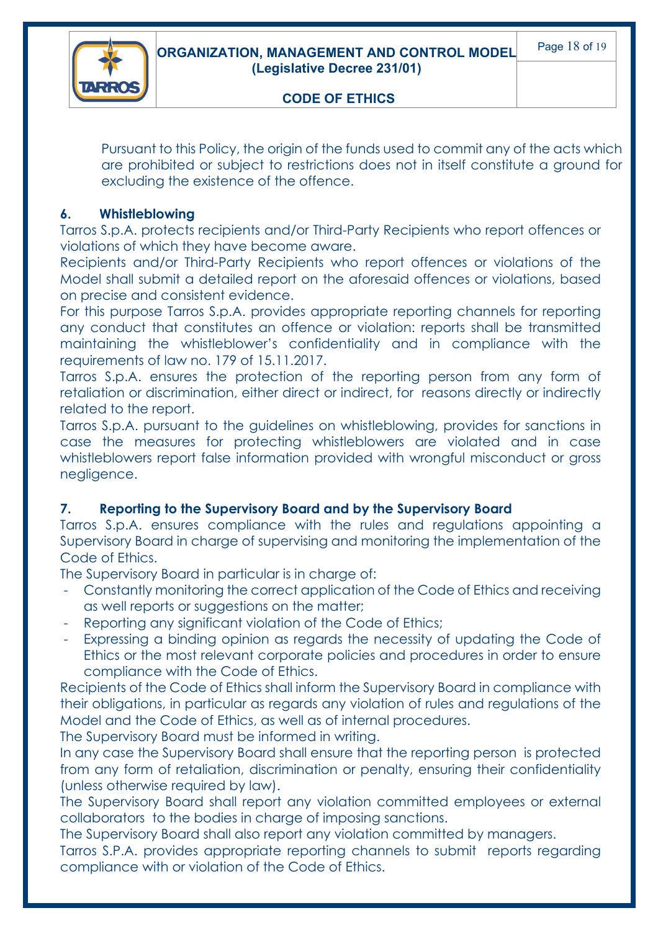

Pursuant to this Policy, the origin of the funds used to commit any of the acts which are prohibited or subject to restrictions does not in itself constitute a ground for excluding the existence of the offence.

#### **6. Whistleblowing**

Tarros S.p.A. protects recipients and/or Third-Party Recipients who report offences or violations of which they have become aware.

Recipients and/or Third-Party Recipients who report offences or violations of the Model shall submit a detailed report on the aforesaid offences or violations, based on precise and consistent evidence.

For this purpose Tarros S.p.A. provides appropriate reporting channels for reporting any conduct that constitutes an offence or violation: reports shall be transmitted maintaining the whistleblower's confidentiality and in compliance with the requirements of law no. 179 of 15.11.2017.

Tarros S.p.A. ensures the protection of the reporting person from any form of retaliation or discrimination, either direct or indirect, for reasons directly or indirectly related to the report.

Tarros S.p.A. pursuant to the guidelines on whistleblowing, provides for sanctions in case the measures for protecting whistleblowers are violated and in case whistleblowers report false information provided with wrongful misconduct or gross negligence.

### **7. Reporting to the Supervisory Board and by the Supervisory Board**

Tarros S.p.A. ensures compliance with the rules and regulations appointing a Supervisory Board in charge of supervising and monitoring the implementation of the Code of Ethics.

The Supervisory Board in particular is in charge of:

- Constantly monitoring the correct application of the Code of Ethics and receiving as well reports or suggestions on the matter;
- Reporting any significant violation of the Code of Ethics;
- Expressing a binding opinion as regards the necessity of updating the Code of Ethics or the most relevant corporate policies and procedures in order to ensure compliance with the Code of Ethics.

Recipients of the Code of Ethics shall inform the Supervisory Board in compliance with their obligations, in particular as regards any violation of rules and regulations of the Model and the Code of Ethics, as well as of internal procedures.

The Supervisory Board must be informed in writing.

In any case the Supervisory Board shall ensure that the reporting person is protected from any form of retaliation, discrimination or penalty, ensuring their confidentiality (unless otherwise required by law).

The Supervisory Board shall report any violation committed employees or external collaborators to the bodies in charge of imposing sanctions.

The Supervisory Board shall also report any violation committed by managers.

Tarros S.P.A. provides appropriate reporting channels to submit reports regarding compliance with or violation of the Code of Ethics.